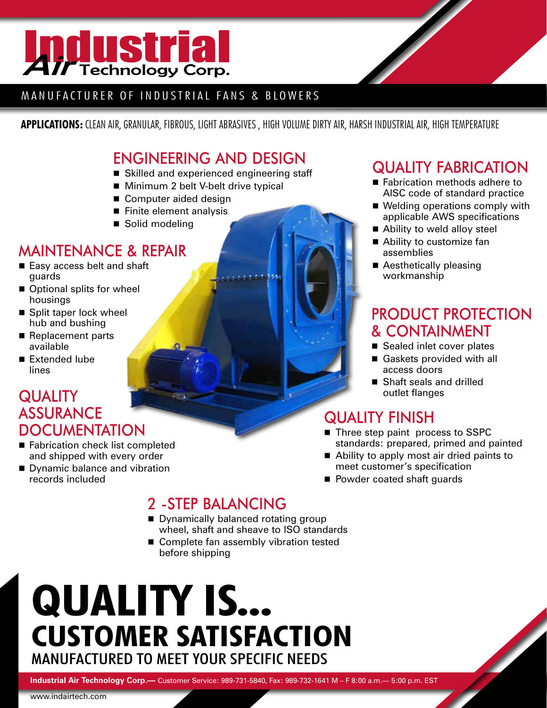

#### MANUFACTURER OF INDUSTRIAL FANS & BLOWERS

**APPLICATIONS:** CLEAN AIR, GRANULAR, FIBROUS, LIGHT ABRASIVES , HIGH VOLUME DIRTY AIR, HARSH INDUSTRIAL AIR, HIGH TEMPERATURE

## ENGINEERING AND DESIGN

- Skilled and experienced engineering staff
- Minimum 2 belt V-belt drive typical
- Computer aided design
- $\blacksquare$  Finite element analysis
- Solid modeling

# MAINTENANCE & REPAIR

- Easy access belt and shaft guards
- $\blacksquare$  Optional splits for wheel housings
- $\blacksquare$  Split taper lock wheel hub and bushing
- Replacement parts available
- $\blacksquare$  Extended lube lines

#### **QUALITY** ASSURANCE **DOCUMENTATION**

- Fabrication check list completed and shipped with every order
- Dynamic balance and vibration records included

# QUALITY FABRICATION

- Fabrication methods adhere to AISC code of standard practice
- $\blacksquare$  Welding operations comply with applicable AWS specifications
- Ability to weld alloy steel
- $\blacksquare$  Ability to customize fan assemblies
- Aesthetically pleasing workmanship

## PRODUCT PROTECTION & CONTAINMENT

- Sealed inlet cover plates
- Gaskets provided with all access doors
- Shaft seals and drilled outlet flanges

# QUALITY FINISH

- Three step paint process to SSPC standards: prepared, primed and painted
- Ability to apply most air dried paints to meet customer's specification
- Powder coated shaft guards

# 2 -STEP BALANCING

- Dynamically balanced rotating group wheel, shaft and sheave to ISO standards
- Complete fan assembly vibration tested before shipping

# **QUALITY IS... CUSTOMER SATISFACTION** Manufactured To Meet Your Specific Needs

**Industrial Air Technology Corp.—** Customer Service: 989-731-5840, Fax: 989-732-1641 M – F 8:00 a.m.— 5:00 p.m. EST